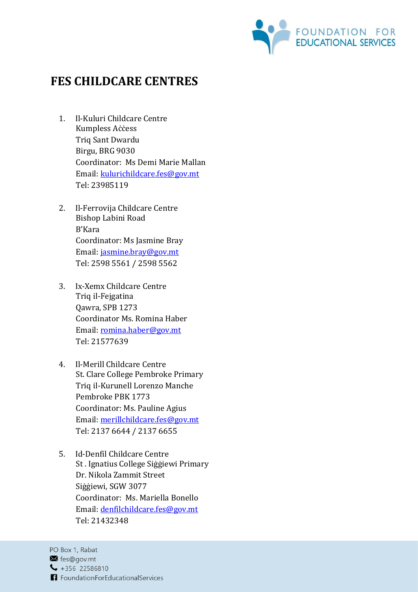

## **FES CHILDCARE CENTRES**

- 1. Il-Kuluri Childcare Centre Kumpless Aċċess Triq Sant Dwardu Birgu, BRG 9030 Coordinator: Ms Demi Marie Mallan Email: [kulurichildcare.fes@gov.mt](mailto:kulurichildcare.fes@gov.mt) Tel: 23985119
- 2. Il-Ferrovija Childcare Centre Bishop Labini Road B'Kara Coordinator: Ms Jasmine Bray Email: [jasmine.bray@gov.mt](mailto:jasmine.bray@gov.mt) Tel: 2598 5561 / 2598 5562
- 3. Ix-Xemx Childcare Centre Triq il-Fejgatina Qawra, SPB 1273 Coordinator Ms. Romina Haber Email: [romina.haber@gov.mt](mailto:romina.haber@gov.mt) Tel: 21577639
- 4. Il-Merill Childcare Centre St. Clare College Pembroke Primary Triq il-Kurunell Lorenzo Manche Pembroke PBK 1773 Coordinator: Ms. Pauline Agius Email: [merillchildcare.fes@gov.mt](mailto:merillchildcare.fes@gov.mt) Tel: 2137 6644 / 2137 6655
- 5. Id-Denfil Childcare Centre St . Ignatius College Siġġiewi Primary Dr. Nikola Zammit Street Siġġiewi, SGW 3077 Coordinator: Ms. Mariella Bonello Email: [denfilchildcare.fes@gov.mt](mailto:denfilchildcare.fes@gov.mt) Tel: 21432348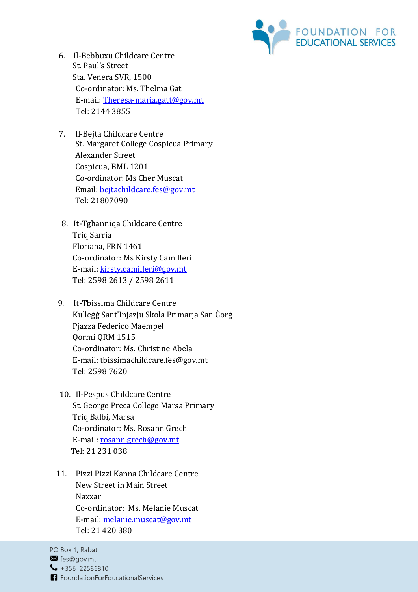

- 6. Il-Bebbuxu Childcare Centre St. Paul's Street Sta. Venera SVR, 1500 Co-ordinator: Ms. Thelma Gat E-mail: [Theresa-maria.gatt@gov.mt](mailto:Theresa-maria.gatt@gov.mt) Tel: 2144 3855
- 7. Il-Bejta Childcare Centre St. Margaret College Cospicua Primary Alexander Street Cospicua, BML 1201 Co-ordinator: Ms Cher Muscat Email: [bejtachildcare.fes@gov.mt](mailto:bejtachildcare.fes@gov.mt) Tel: 21807090
- 8. It-Tgħanniqa Childcare Centre Triq Sarria Floriana, FRN 1461 Co-ordinator: Ms Kirsty Camilleri E-mail: [kirsty.camilleri@gov.mt](mailto:kirsty.camilleri@gov.mt) Tel: 2598 2613 / 2598 2611
- 9. It-Tbissima Childcare Centre Kulleġġ Sant'Injazju Skola Primarja San Ġorġ Pjazza Federico Maempel Qormi QRM 1515 Co-ordinator: Ms. Christine Abela E-mail: tbissimachildcare.fes@gov.mt Tel: 2598 7620
- 10. Il-Pespus Childcare Centre St. George Preca College Marsa Primary Triq Balbi, Marsa Co-ordinator: Ms. Rosann Grech E-mail: [rosann.grech@gov.mt](mailto:rosann.grech@gov.mt) Tel: 21 231 038
- 11. Pizzi Pizzi Kanna Childcare Centre New Street in Main Street Naxxar Co-ordinator: Ms. Melanie Muscat E-mail: [melanie.muscat@gov.mt](mailto:melanie.muscat@gov.mt) Tel: 21 420 380